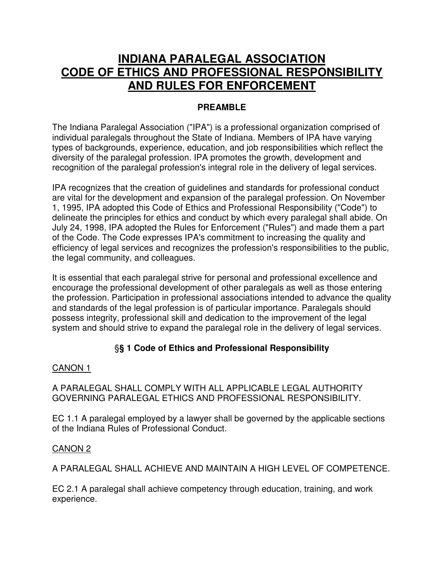# **INDIANA PARALEGAL ASSOCIATION CODE OF ETHICS AND PROFESSIONAL RESPONSIBILITY AND RULES FOR ENFORCEMENT**

### **PREAMBLE**

The Indiana Paralegal Association ("IPA") is a professional organization comprised of individual paralegals throughout the State of Indiana. Members of IPA have varying types of backgrounds, experience, education, and job responsibilities which reflect the diversity of the paralegal profession. IPA promotes the growth, development and recognition of the paralegal profession's integral role in the delivery of legal services.

IPA recognizes that the creation of guidelines and standards for professional conduct are vital for the development and expansion of the paralegal profession. On November 1, 1995, IPA adopted this Code of Ethics and Professional Responsibility ("Code") to delineate the principles for ethics and conduct by which every paralegal shall abide. On July 24, 1998, IPA adopted the Rules for Enforcement ("Rules") and made them a part of the Code. The Code expresses IPA's commitment to increasing the quality and efficiency of legal services and recognizes the profession's responsibilities to the public, the legal community, and colleagues.

It is essential that each paralegal strive for personal and professional excellence and encourage the professional development of other paralegals as well as those entering the profession. Participation in professional associations intended to advance the quality and standards of the legal profession is of particular importance. Paralegals should possess integrity, professional skill and dedication to the improvement of the legal system and should strive to expand the paralegal role in the delivery of legal services.

# §**§ 1 Code of Ethics and Professional Responsibility**

#### CANON 1

#### A PARALEGAL SHALL COMPLY WITH ALL APPLICABLE LEGAL AUTHORITY GOVERNING PARALEGAL ETHICS AND PROFESSIONAL RESPONSIBILITY.

EC 1.1 A paralegal employed by a lawyer shall be governed by the applicable sections of the Indiana Rules of Professional Conduct.

#### CANON 2

A PARALEGAL SHALL ACHIEVE AND MAINTAIN A HIGH LEVEL OF COMPETENCE.

EC 2.1 A paralegal shall achieve competency through education, training, and work experience.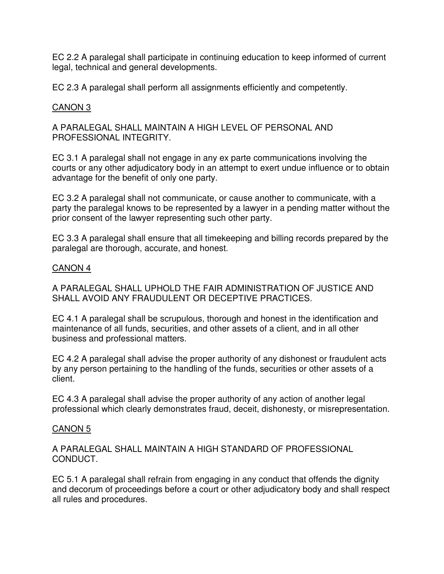EC 2.2 A paralegal shall participate in continuing education to keep informed of current legal, technical and general developments.

EC 2.3 A paralegal shall perform all assignments efficiently and competently.

## CANON 3

A PARALEGAL SHALL MAINTAIN A HIGH LEVEL OF PERSONAL AND PROFESSIONAL INTEGRITY.

EC 3.1 A paralegal shall not engage in any ex parte communications involving the courts or any other adjudicatory body in an attempt to exert undue influence or to obtain advantage for the benefit of only one party.

EC 3.2 A paralegal shall not communicate, or cause another to communicate, with a party the paralegal knows to be represented by a lawyer in a pending matter without the prior consent of the lawyer representing such other party.

EC 3.3 A paralegal shall ensure that all timekeeping and billing records prepared by the paralegal are thorough, accurate, and honest.

#### CANON 4

A PARALEGAL SHALL UPHOLD THE FAIR ADMINISTRATION OF JUSTICE AND SHALL AVOID ANY FRAUDULENT OR DECEPTIVE PRACTICES.

EC 4.1 A paralegal shall be scrupulous, thorough and honest in the identification and maintenance of all funds, securities, and other assets of a client, and in all other business and professional matters.

EC 4.2 A paralegal shall advise the proper authority of any dishonest or fraudulent acts by any person pertaining to the handling of the funds, securities or other assets of a client.

EC 4.3 A paralegal shall advise the proper authority of any action of another legal professional which clearly demonstrates fraud, deceit, dishonesty, or misrepresentation.

#### CANON 5

A PARALEGAL SHALL MAINTAIN A HIGH STANDARD OF PROFESSIONAL CONDUCT.

EC 5.1 A paralegal shall refrain from engaging in any conduct that offends the dignity and decorum of proceedings before a court or other adjudicatory body and shall respect all rules and procedures.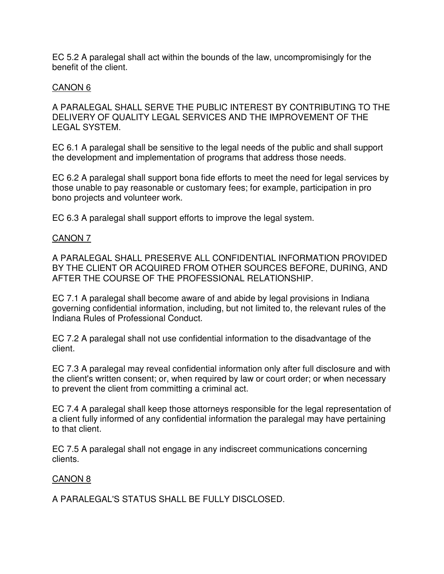EC 5.2 A paralegal shall act within the bounds of the law, uncompromisingly for the benefit of the client.

#### CANON 6

A PARALEGAL SHALL SERVE THE PUBLIC INTEREST BY CONTRIBUTING TO THE DELIVERY OF QUALITY LEGAL SERVICES AND THE IMPROVEMENT OF THE LEGAL SYSTEM.

EC 6.1 A paralegal shall be sensitive to the legal needs of the public and shall support the development and implementation of programs that address those needs.

EC 6.2 A paralegal shall support bona fide efforts to meet the need for legal services by those unable to pay reasonable or customary fees; for example, participation in pro bono projects and volunteer work.

EC 6.3 A paralegal shall support efforts to improve the legal system.

#### CANON 7

A PARALEGAL SHALL PRESERVE ALL CONFIDENTIAL INFORMATION PROVIDED BY THE CLIENT OR ACQUIRED FROM OTHER SOURCES BEFORE, DURING, AND AFTER THE COURSE OF THE PROFESSIONAL RELATIONSHIP.

EC 7.1 A paralegal shall become aware of and abide by legal provisions in Indiana governing confidential information, including, but not limited to, the relevant rules of the Indiana Rules of Professional Conduct.

EC 7.2 A paralegal shall not use confidential information to the disadvantage of the client.

EC 7.3 A paralegal may reveal confidential information only after full disclosure and with the client's written consent; or, when required by law or court order; or when necessary to prevent the client from committing a criminal act.

EC 7.4 A paralegal shall keep those attorneys responsible for the legal representation of a client fully informed of any confidential information the paralegal may have pertaining to that client.

EC 7.5 A paralegal shall not engage in any indiscreet communications concerning clients.

#### CANON 8

A PARALEGAL'S STATUS SHALL BE FULLY DISCLOSED.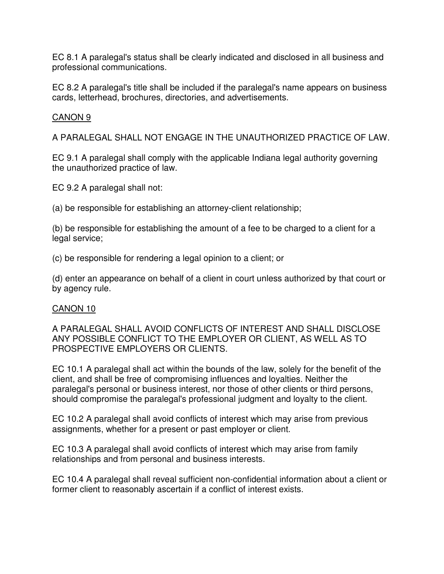EC 8.1 A paralegal's status shall be clearly indicated and disclosed in all business and professional communications.

EC 8.2 A paralegal's title shall be included if the paralegal's name appears on business cards, letterhead, brochures, directories, and advertisements.

#### CANON 9

A PARALEGAL SHALL NOT ENGAGE IN THE UNAUTHORIZED PRACTICE OF LAW.

EC 9.1 A paralegal shall comply with the applicable Indiana legal authority governing the unauthorized practice of law.

EC 9.2 A paralegal shall not:

(a) be responsible for establishing an attorney-client relationship;

(b) be responsible for establishing the amount of a fee to be charged to a client for a legal service;

(c) be responsible for rendering a legal opinion to a client; or

(d) enter an appearance on behalf of a client in court unless authorized by that court or by agency rule.

#### CANON 10

A PARALEGAL SHALL AVOID CONFLICTS OF INTEREST AND SHALL DISCLOSE ANY POSSIBLE CONFLICT TO THE EMPLOYER OR CLIENT, AS WELL AS TO PROSPECTIVE EMPLOYERS OR CLIENTS.

EC 10.1 A paralegal shall act within the bounds of the law, solely for the benefit of the client, and shall be free of compromising influences and loyalties. Neither the paralegal's personal or business interest, nor those of other clients or third persons, should compromise the paralegal's professional judgment and loyalty to the client.

EC 10.2 A paralegal shall avoid conflicts of interest which may arise from previous assignments, whether for a present or past employer or client.

EC 10.3 A paralegal shall avoid conflicts of interest which may arise from family relationships and from personal and business interests.

EC 10.4 A paralegal shall reveal sufficient non-confidential information about a client or former client to reasonably ascertain if a conflict of interest exists.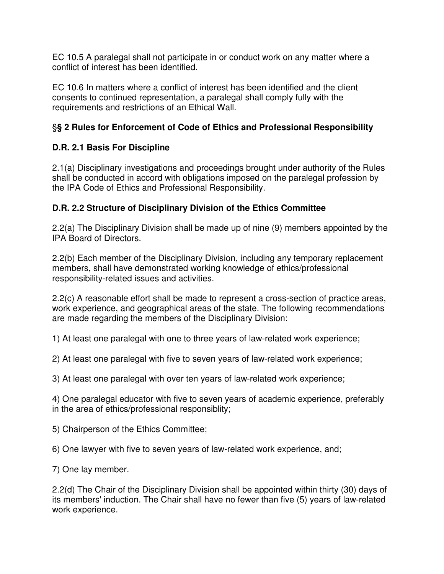EC 10.5 A paralegal shall not participate in or conduct work on any matter where a conflict of interest has been identified.

EC 10.6 In matters where a conflict of interest has been identified and the client consents to continued representation, a paralegal shall comply fully with the requirements and restrictions of an Ethical Wall.

# §**§ 2 Rules for Enforcement of Code of Ethics and Professional Responsibility**

# **D.R. 2.1 Basis For Discipline**

2.1(a) Disciplinary investigations and proceedings brought under authority of the Rules shall be conducted in accord with obligations imposed on the paralegal profession by the IPA Code of Ethics and Professional Responsibility.

# **D.R. 2.2 Structure of Disciplinary Division of the Ethics Committee**

2.2(a) The Disciplinary Division shall be made up of nine (9) members appointed by the IPA Board of Directors.

2.2(b) Each member of the Disciplinary Division, including any temporary replacement members, shall have demonstrated working knowledge of ethics/professional responsibility-related issues and activities.

2.2(c) A reasonable effort shall be made to represent a cross-section of practice areas, work experience, and geographical areas of the state. The following recommendations are made regarding the members of the Disciplinary Division:

1) At least one paralegal with one to three years of law-related work experience;

2) At least one paralegal with five to seven years of law-related work experience;

3) At least one paralegal with over ten years of law-related work experience;

4) One paralegal educator with five to seven years of academic experience, preferably in the area of ethics/professional responsiblity;

5) Chairperson of the Ethics Committee;

6) One lawyer with five to seven years of law-related work experience, and;

7) One lay member.

2.2(d) The Chair of the Disciplinary Division shall be appointed within thirty (30) days of its members' induction. The Chair shall have no fewer than five (5) years of law-related work experience.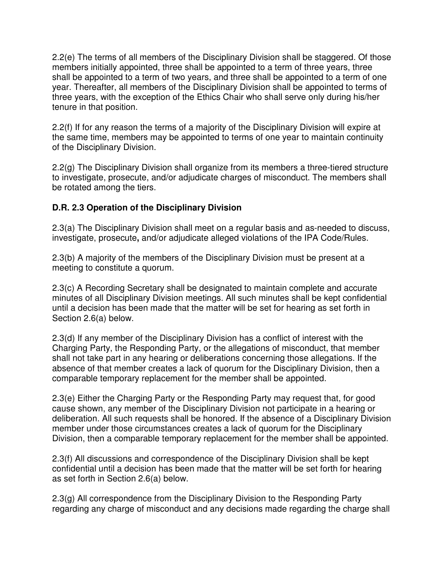2.2(e) The terms of all members of the Disciplinary Division shall be staggered. Of those members initially appointed, three shall be appointed to a term of three years, three shall be appointed to a term of two years, and three shall be appointed to a term of one year. Thereafter, all members of the Disciplinary Division shall be appointed to terms of three years, with the exception of the Ethics Chair who shall serve only during his/her tenure in that position.

2.2(f) If for any reason the terms of a majority of the Disciplinary Division will expire at the same time, members may be appointed to terms of one year to maintain continuity of the Disciplinary Division.

2.2(g) The Disciplinary Division shall organize from its members a three-tiered structure to investigate, prosecute, and/or adjudicate charges of misconduct. The members shall be rotated among the tiers.

## **D.R. 2.3 Operation of the Disciplinary Division**

2.3(a) The Disciplinary Division shall meet on a regular basis and as-needed to discuss, investigate, prosecute**,** and/or adjudicate alleged violations of the IPA Code/Rules.

2.3(b) A majority of the members of the Disciplinary Division must be present at a meeting to constitute a quorum.

2.3(c) A Recording Secretary shall be designated to maintain complete and accurate minutes of all Disciplinary Division meetings. All such minutes shall be kept confidential until a decision has been made that the matter will be set for hearing as set forth in Section 2.6(a) below.

2.3(d) If any member of the Disciplinary Division has a conflict of interest with the Charging Party, the Responding Party, or the allegations of misconduct, that member shall not take part in any hearing or deliberations concerning those allegations. If the absence of that member creates a lack of quorum for the Disciplinary Division, then a comparable temporary replacement for the member shall be appointed.

2.3(e) Either the Charging Party or the Responding Party may request that, for good cause shown, any member of the Disciplinary Division not participate in a hearing or deliberation. All such requests shall be honored. If the absence of a Disciplinary Division member under those circumstances creates a lack of quorum for the Disciplinary Division, then a comparable temporary replacement for the member shall be appointed.

2.3(f) All discussions and correspondence of the Disciplinary Division shall be kept confidential until a decision has been made that the matter will be set forth for hearing as set forth in Section 2.6(a) below.

2.3(g) All correspondence from the Disciplinary Division to the Responding Party regarding any charge of misconduct and any decisions made regarding the charge shall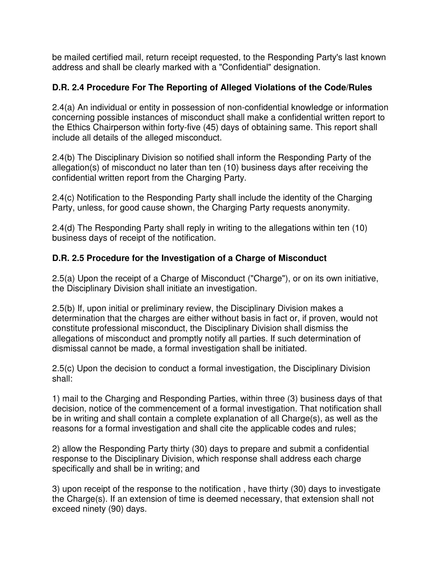be mailed certified mail, return receipt requested, to the Responding Party's last known address and shall be clearly marked with a "Confidential" designation.

# **D.R. 2.4 Procedure For The Reporting of Alleged Violations of the Code/Rules**

2.4(a) An individual or entity in possession of non-confidential knowledge or information concerning possible instances of misconduct shall make a confidential written report to the Ethics Chairperson within forty-five (45) days of obtaining same. This report shall include all details of the alleged misconduct.

2.4(b) The Disciplinary Division so notified shall inform the Responding Party of the allegation(s) of misconduct no later than ten (10) business days after receiving the confidential written report from the Charging Party.

2.4(c) Notification to the Responding Party shall include the identity of the Charging Party, unless, for good cause shown, the Charging Party requests anonymity.

2.4(d) The Responding Party shall reply in writing to the allegations within ten (10) business days of receipt of the notification.

## **D.R. 2.5 Procedure for the Investigation of a Charge of Misconduct**

2.5(a) Upon the receipt of a Charge of Misconduct ("Charge"), or on its own initiative, the Disciplinary Division shall initiate an investigation.

2.5(b) If, upon initial or preliminary review, the Disciplinary Division makes a determination that the charges are either without basis in fact or, if proven, would not constitute professional misconduct, the Disciplinary Division shall dismiss the allegations of misconduct and promptly notify all parties. If such determination of dismissal cannot be made, a formal investigation shall be initiated.

2.5(c) Upon the decision to conduct a formal investigation, the Disciplinary Division shall:

1) mail to the Charging and Responding Parties, within three (3) business days of that decision, notice of the commencement of a formal investigation. That notification shall be in writing and shall contain a complete explanation of all Charge(s), as well as the reasons for a formal investigation and shall cite the applicable codes and rules;

2) allow the Responding Party thirty (30) days to prepare and submit a confidential response to the Disciplinary Division, which response shall address each charge specifically and shall be in writing; and

3) upon receipt of the response to the notification , have thirty (30) days to investigate the Charge(s). If an extension of time is deemed necessary, that extension shall not exceed ninety (90) days.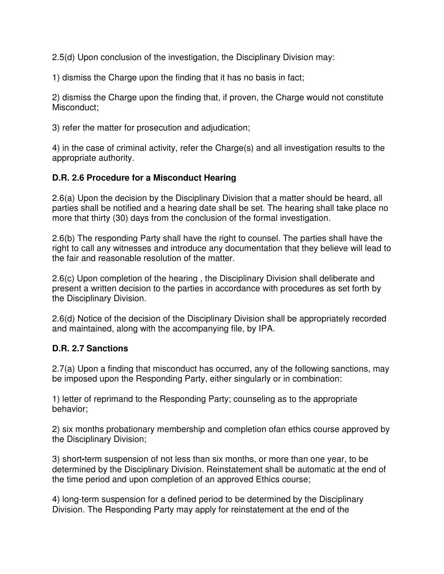2.5(d) Upon conclusion of the investigation, the Disciplinary Division may:

1) dismiss the Charge upon the finding that it has no basis in fact;

2) dismiss the Charge upon the finding that, if proven, the Charge would not constitute Misconduct;

3) refer the matter for prosecution and adjudication;

4) in the case of criminal activity, refer the Charge(s) and all investigation results to the appropriate authority.

#### **D.R. 2.6 Procedure for a Misconduct Hearing**

2.6(a) Upon the decision by the Disciplinary Division that a matter should be heard, all parties shall be notified and a hearing date shall be set. The hearing shall take place no more that thirty (30) days from the conclusion of the formal investigation.

2.6(b) The responding Party shall have the right to counsel. The parties shall have the right to call any witnesses and introduce any documentation that they believe will lead to the fair and reasonable resolution of the matter.

2.6(c) Upon completion of the hearing , the Disciplinary Division shall deliberate and present a written decision to the parties in accordance with procedures as set forth by the Disciplinary Division.

2.6(d) Notice of the decision of the Disciplinary Division shall be appropriately recorded and maintained, along with the accompanying file, by IPA.

#### **D.R. 2.7 Sanctions**

2.7(a) Upon a finding that misconduct has occurred, any of the following sanctions, may be imposed upon the Responding Party, either singularly or in combination:

1) letter of reprimand to the Responding Party; counseling as to the appropriate behavior;

2) six months probationary membership and completion ofan ethics course approved by the Disciplinary Division;

3) short**-**term suspension of not less than six months, or more than one year, to be determined by the Disciplinary Division. Reinstatement shall be automatic at the end of the time period and upon completion of an approved Ethics course;

4) long-term suspension for a defined period to be determined by the Disciplinary Division. The Responding Party may apply for reinstatement at the end of the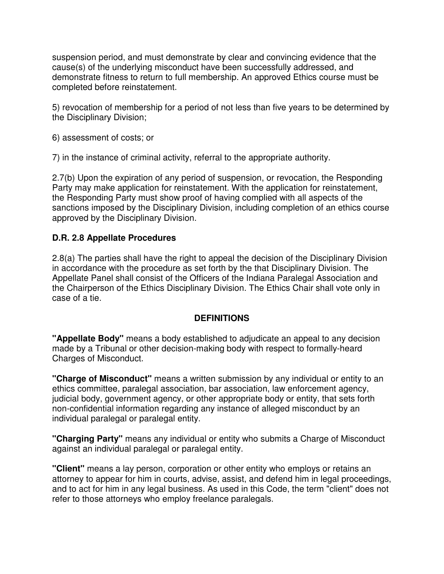suspension period, and must demonstrate by clear and convincing evidence that the cause(s) of the underlying misconduct have been successfully addressed, and demonstrate fitness to return to full membership. An approved Ethics course must be completed before reinstatement.

5) revocation of membership for a period of not less than five years to be determined by the Disciplinary Division;

6) assessment of costs; or

7) in the instance of criminal activity, referral to the appropriate authority.

2.7(b) Upon the expiration of any period of suspension, or revocation, the Responding Party may make application for reinstatement. With the application for reinstatement, the Responding Party must show proof of having complied with all aspects of the sanctions imposed by the Disciplinary Division, including completion of an ethics course approved by the Disciplinary Division.

#### **D.R. 2.8 Appellate Procedures**

2.8(a) The parties shall have the right to appeal the decision of the Disciplinary Division in accordance with the procedure as set forth by the that Disciplinary Division. The Appellate Panel shall consist of the Officers of the Indiana Paralegal Association and the Chairperson of the Ethics Disciplinary Division. The Ethics Chair shall vote only in case of a tie.

#### **DEFINITIONS**

**"Appellate Body"** means a body established to adjudicate an appeal to any decision made by a Tribunal or other decision-making body with respect to formally-heard Charges of Misconduct.

**"Charge of Misconduct"** means a written submission by any individual or entity to an ethics committee, paralegal association, bar association, law enforcement agency, judicial body, government agency, or other appropriate body or entity, that sets forth non-confidential information regarding any instance of alleged misconduct by an individual paralegal or paralegal entity.

**"Charging Party"** means any individual or entity who submits a Charge of Misconduct against an individual paralegal or paralegal entity.

**"Client"** means a lay person, corporation or other entity who employs or retains an attorney to appear for him in courts, advise, assist, and defend him in legal proceedings, and to act for him in any legal business. As used in this Code, the term "client" does not refer to those attorneys who employ freelance paralegals.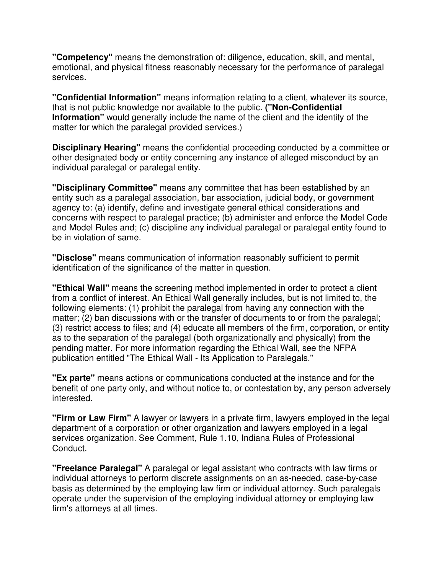**"Competency"** means the demonstration of: diligence, education, skill, and mental, emotional, and physical fitness reasonably necessary for the performance of paralegal services.

**"Confidential Information"** means information relating to a client, whatever its source, that is not public knowledge nor available to the public. **("Non-Confidential Information"** would generally include the name of the client and the identity of the matter for which the paralegal provided services.)

**Disciplinary Hearing"** means the confidential proceeding conducted by a committee or other designated body or entity concerning any instance of alleged misconduct by an individual paralegal or paralegal entity.

**"Disciplinary Committee"** means any committee that has been established by an entity such as a paralegal association, bar association, judicial body, or government agency to: (a) identify, define and investigate general ethical considerations and concerns with respect to paralegal practice; (b) administer and enforce the Model Code and Model Rules and; (c) discipline any individual paralegal or paralegal entity found to be in violation of same.

**"Disclose"** means communication of information reasonably sufficient to permit identification of the significance of the matter in question.

**"Ethical Wall"** means the screening method implemented in order to protect a client from a conflict of interest. An Ethical Wall generally includes, but is not limited to, the following elements: (1) prohibit the paralegal from having any connection with the matter; (2) ban discussions with or the transfer of documents to or from the paralegal; (3) restrict access to files; and (4) educate all members of the firm, corporation, or entity as to the separation of the paralegal (both organizationally and physically) from the pending matter. For more information regarding the Ethical Wall, see the NFPA publication entitled "The Ethical Wall - Its Application to Paralegals."

**"Ex parte"** means actions or communications conducted at the instance and for the benefit of one party only, and without notice to, or contestation by, any person adversely interested.

**"Firm or Law Firm"** A lawyer or lawyers in a private firm, lawyers employed in the legal department of a corporation or other organization and lawyers employed in a legal services organization. See Comment, Rule 1.10, Indiana Rules of Professional Conduct.

**"Freelance Paralegal"** A paralegal or legal assistant who contracts with law firms or individual attorneys to perform discrete assignments on an as-needed, case-by-case basis as determined by the employing law firm or individual attorney. Such paralegals operate under the supervision of the employing individual attorney or employing law firm's attorneys at all times.